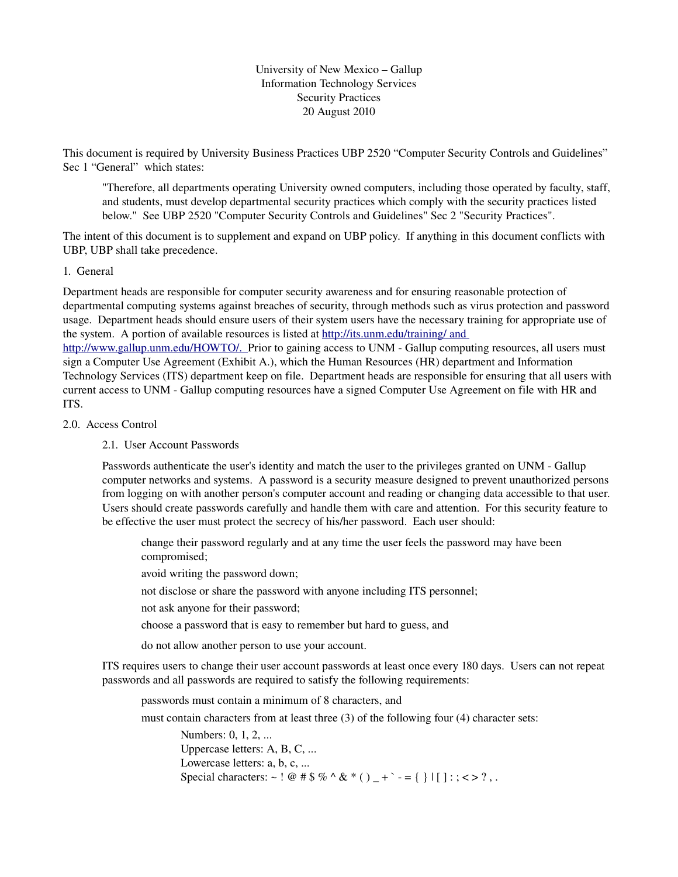University of New Mexico – Gallup Information Technology Services Security Practices 20 August 2010

This document is required by University Business Practices UBP 2520 "Computer Security Controls and Guidelines" Sec 1 "General" which states:

"Therefore, all departments operating University owned computers, including those operated by faculty, staff, and students, must develop departmental security practices which comply with the security practices listed below." See UBP 2520 "Computer Security Controls and Guidelines" Sec 2 "Security Practices".

The intent of this document is to supplement and expand on UBP policy. If anything in this document conflicts with UBP, UBP shall take precedence.

#### 1. General

Department heads are responsible for computer security awareness and for ensuring reasonable protection of departmental computing systems against breaches of security, through methods such as virus protection and password usage. Department heads should ensure users of their system users have the necessary training for appropriate use of the system. A portion of available resources is listed at http://its.unm.edu/training/ and

http://www.gallup.unm.edu/HOWTO/. Prior to gaining access to UNM - Gallup computing resources, all users must sign a Computer Use Agreement (Exhibit A.), which the Human Resources (HR) department and Information Technology Services (ITS) department keep on file. Department heads are responsible for ensuring that all users with current access to UNM - Gallup computing resources have a signed Computer Use Agreement on file with HR and ITS.

#### 2.0. Access Control

2.1. User Account Passwords

Passwords authenticate the user's identity and match the user to the privileges granted on UNM - Gallup computer networks and systems. A password is a security measure designed to prevent unauthorized persons from logging on with another person's computer account and reading or changing data accessible to that user. Users should create passwords carefully and handle them with care and attention. For this security feature to be effective the user must protect the secrecy of his/her password. Each user should:

change their password regularly and at any time the user feels the password may have been compromised;

avoid writing the password down;

not disclose or share the password with anyone including ITS personnel;

not ask anyone for their password;

choose a password that is easy to remember but hard to guess, and

do not allow another person to use your account.

ITS requires users to change their user account passwords at least once every 180 days. Users can not repeat passwords and all passwords are required to satisfy the following requirements:

passwords must contain a minimum of 8 characters, and

must contain characters from at least three (3) of the following four (4) character sets:

Numbers: 0, 1, 2, ... Uppercase letters: A, B, C, ... Lowercase letters: a, b, c, ... Special characters: ~! @ # \$ % ^ & \* () + ` - = { } | [ ] : ; < > ? , .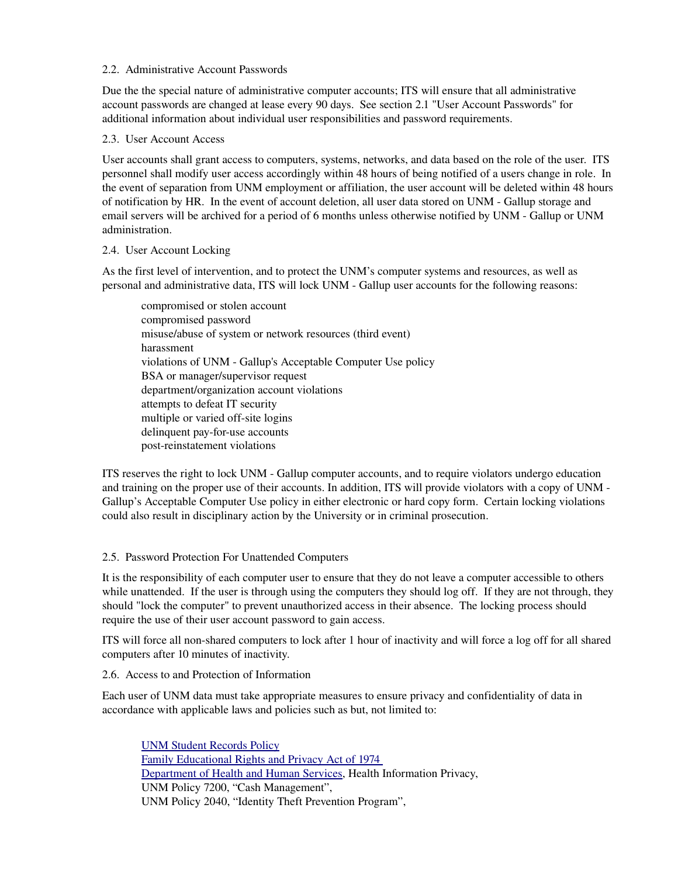#### 2.2. Administrative Account Passwords

Due the the special nature of administrative computer accounts; ITS will ensure that all administrative account passwords are changed at lease every 90 days. See section 2.1 "User Account Passwords" for additional information about individual user responsibilities and password requirements.

## 2.3. User Account Access

User accounts shall grant access to computers, systems, networks, and data based on the role of the user. ITS personnel shall modify user access accordingly within 48 hours of being notified of a users change in role. In the event of separation from UNM employment or affiliation, the user account will be deleted within 48 hours of notification by HR. In the event of account deletion, all user data stored on UNM - Gallup storage and email servers will be archived for a period of 6 months unless otherwise notified by UNM - Gallup or UNM administration.

## 2.4. User Account Locking

As the first level of intervention, and to protect the UNM's computer systems and resources, as well as personal and administrative data, ITS will lock UNM Gallup user accounts for the following reasons:

compromised or stolen account compromised password misuse/abuse of system or network resources (third event) harassment violations of UNM Gallup's Acceptable Computer Use policy BSA or manager/supervisor request department/organization account violations attempts to defeat IT security multiple or varied off-site logins delinquent pay-for-use accounts post-reinstatement violations

ITS reserves the right to lock UNM Gallup computer accounts, and to require violators undergo education and training on the proper use of their accounts. In addition, ITS will provide violators with a copy of UNM Gallup's Acceptable Computer Use policy in either electronic or hard copy form. Certain locking violations could also result in disciplinary action by the University or in criminal prosecution.

## 2.5. Password Protection For Unattended Computers

It is the responsibility of each computer user to ensure that they do not leave a computer accessible to others while unattended. If the user is through using the computers they should log off. If they are not through, they should "lock the computer" to prevent unauthorized access in their absence. The locking process should require the use of their user account password to gain access.

ITS will force all nonshared computers to lock after 1 hour of inactivity and will force a log off for all shared computers after 10 minutes of inactivity.

#### 2.6. Access to and Protection of Information

Each user of UNM data must take appropriate measures to ensure privacy and confidentiality of data in accordance with applicable laws and policies such as but, not limited to:

[UNM Student Records Policy](http://www.unm.edu/~sac/policies.html#studentrecords)  Family Educational Rights and Privacy Act of 1974 [Department of Health and Human Services,](http://www.os.dhhs.gov/ocr/hipaa/) Health Information Privacy, UNM Policy 7200, "Cash Management", UNM Policy 2040, "Identity Theft Prevention Program",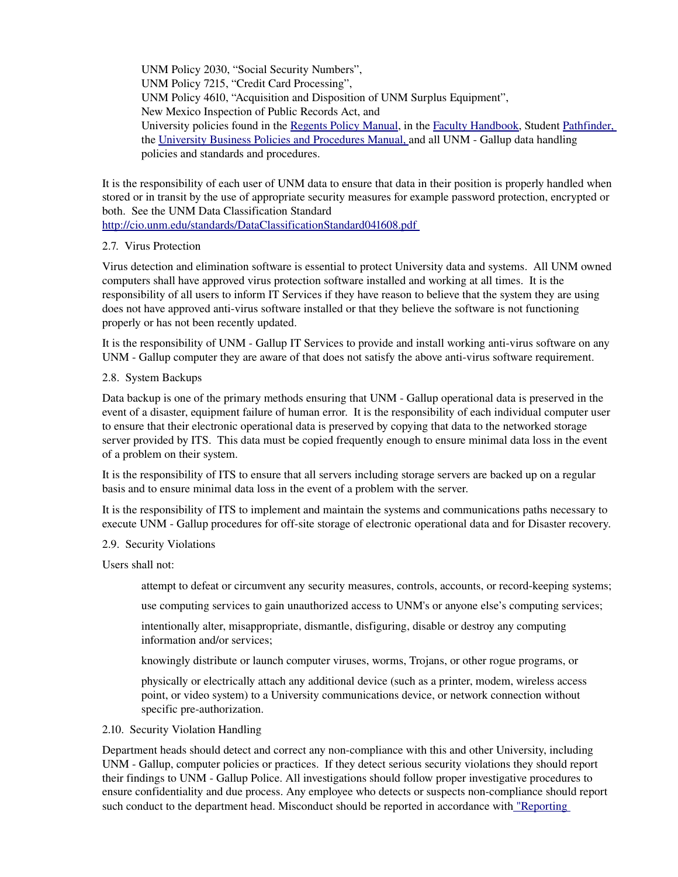UNM Policy 2030, "Social Security Numbers", UNM Policy 7215, "Credit Card Processing", UNM Policy 4610, "Acquisition and Disposition of UNM Surplus Equipment", New Mexico Inspection of Public Records Act, and University policies found in the [Regents Policy Manual,](http://www.unm.edu/~brpm) in the [Faculty Handbook,](http://www.unm.edu/~handbook/) Student [Pathfinder,](http://www.unm.edu/~pathfind/) the University Business Policies and Procedures Manual, and all UNM - Gallup data handling policies and standards and procedures.

It is the responsibility of each user of UNM data to ensure that data in their position is properly handled when stored or in transit by the use of appropriate security measures for example password protection, encrypted or both. See the UNM Data Classification Standard

<http://cio.unm.edu/standards/DataClassificationStandard041608.pdf>

## 2.7. Virus Protection

Virus detection and elimination software is essential to protect University data and systems. All UNM owned computers shall have approved virus protection software installed and working at all times. It is the responsibility of all users to inform IT Services if they have reason to believe that the system they are using does not have approved anti-virus software installed or that they believe the software is not functioning properly or has not been recently updated.

It is the responsibility of UNM - Gallup IT Services to provide and install working anti-virus software on any UNM - Gallup computer they are aware of that does not satisfy the above anti-virus software requirement.

## 2.8. System Backups

Data backup is one of the primary methods ensuring that UNM - Gallup operational data is preserved in the event of a disaster, equipment failure of human error. It is the responsibility of each individual computer user to ensure that their electronic operational data is preserved by copying that data to the networked storage server provided by ITS. This data must be copied frequently enough to ensure minimal data loss in the event of a problem on their system.

It is the responsibility of ITS to ensure that all servers including storage servers are backed up on a regular basis and to ensure minimal data loss in the event of a problem with the server.

It is the responsibility of ITS to implement and maintain the systems and communications paths necessary to execute UNM - Gallup procedures for off-site storage of electronic operational data and for Disaster recovery.

#### 2.9. Security Violations

Users shall not:

attempt to defeat or circumvent any security measures, controls, accounts, or record-keeping systems;

use computing services to gain unauthorized access to UNM's or anyone else's computing services;

intentionally alter, misappropriate, dismantle, disfiguring, disable or destroy any computing information and/or services;

knowingly distribute or launch computer viruses, worms, Trojans, or other rogue programs, or

physically or electrically attach any additional device (such as a printer, modem, wireless access point, or video system) to a University communications device, or network connection without specific pre-authorization.

#### 2.10. Security Violation Handling

Department heads should detect and correct any noncompliance with this and other University, including UNM - Gallup, computer policies or practices. If they detect serious security violations they should report their findings to UNM Gallup Police. All investigations should follow proper investigative procedures to ensure confidentiality and due process. Any employee who detects or suspects noncompliance should report such conduct to the department head. Misconduct should be reported in accordance with "Reporting"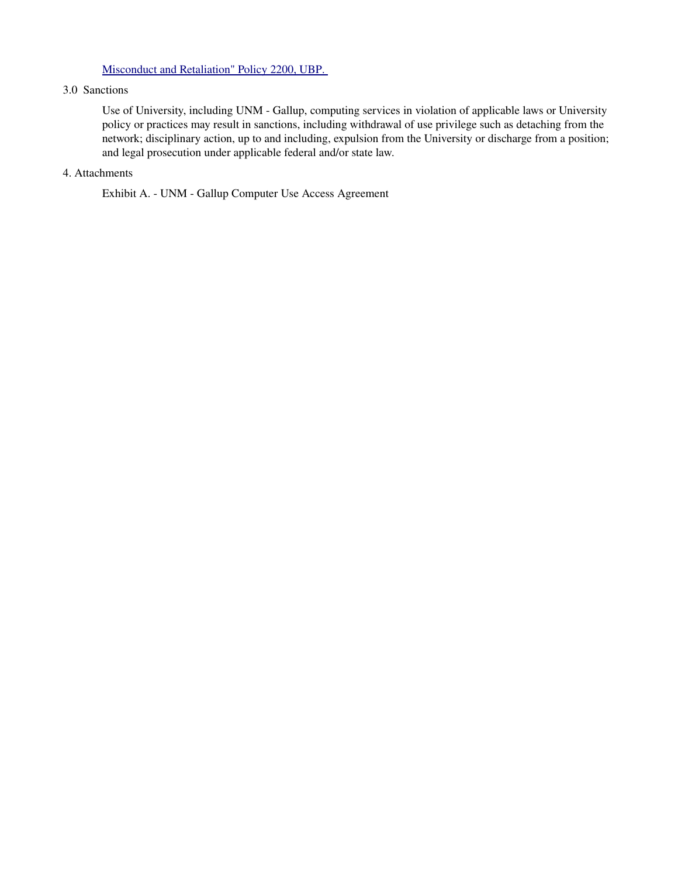## Misconduct and Retaliation" Policy 2200, UBP.

#### 3.0 Sanctions

Use of University, including UNM Gallup, computing services in violation of applicable laws or University policy or practices may result in sanctions, including withdrawal of use privilege such as detaching from the network; disciplinary action, up to and including, expulsion from the University or discharge from a position; and legal prosecution under applicable federal and/or state law.

## 4. Attachments

Exhibit A. - UNM - Gallup Computer Use Access Agreement